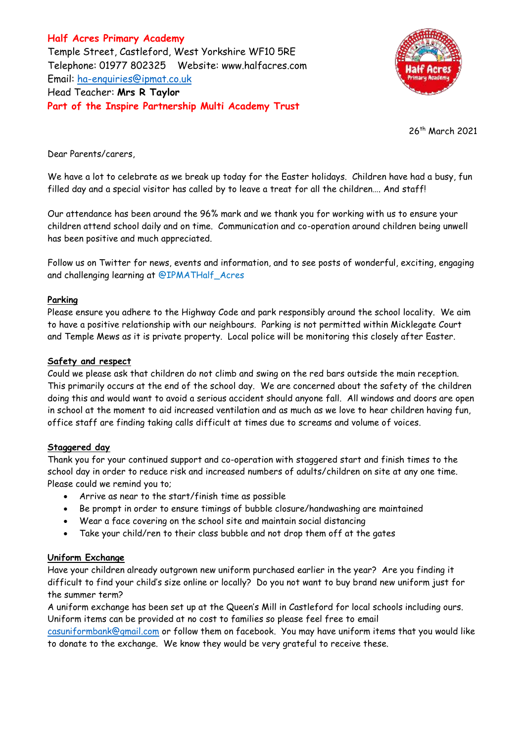**Half Acres Primary Academy** Temple Street, Castleford, West Yorkshire WF10 5RE Telephone: 01977 802325 Website: [www.halfacres.com](http://www.halfacres.com/) Email: [ha-enquiries@ipmat.co.uk](mailto:ha-enquiries@ipmat.co.uk) Head Teacher: **Mrs R Taylor Part of the Inspire Partnership Multi Academy Trust**



26th March 2021

Dear Parents/carers,

We have a lot to celebrate as we break up today for the Easter holidays. Children have had a busy, fun filled day and a special visitor has called by to leave a treat for all the children…. And staff!

Our attendance has been around the 96% mark and we thank you for working with us to ensure your children attend school daily and on time. Communication and co-operation around children being unwell has been positive and much appreciated.

Follow us on Twitter for news, events and information, and to see posts of wonderful, exciting, engaging and challenging learning at @IPMATHalf\_Acres

## **Parking**

Please ensure you adhere to the Highway Code and park responsibly around the school locality. We aim to have a positive relationship with our neighbours. Parking is not permitted within Micklegate Court and Temple Mews as it is private property. Local police will be monitoring this closely after Easter.

## **Safety and respect**

Could we please ask that children do not climb and swing on the red bars outside the main reception. This primarily occurs at the end of the school day. We are concerned about the safety of the children doing this and would want to avoid a serious accident should anyone fall. All windows and doors are open in school at the moment to aid increased ventilation and as much as we love to hear children having fun, office staff are finding taking calls difficult at times due to screams and volume of voices.

## **Staggered day**

Thank you for your continued support and co-operation with staggered start and finish times to the school day in order to reduce risk and increased numbers of adults/children on site at any one time. Please could we remind you to;

- Arrive as near to the start/finish time as possible
- Be prompt in order to ensure timings of bubble closure/handwashing are maintained
- Wear a face covering on the school site and maintain social distancing
- Take your child/ren to their class bubble and not drop them off at the gates

## **Uniform Exchange**

Have your children already outgrown new uniform purchased earlier in the year? Are you finding it difficult to find your child's size online or locally? Do you not want to buy brand new uniform just for the summer term?

A uniform exchange has been set up at the Queen's Mill in Castleford for local schools including ours. Uniform items can be provided at no cost to families so please feel free to email

[casuniformbank@gmail.com](mailto:casuniformbank@gmail.com) or follow them on facebook. You may have uniform items that you would like to donate to the exchange. We know they would be very grateful to receive these.